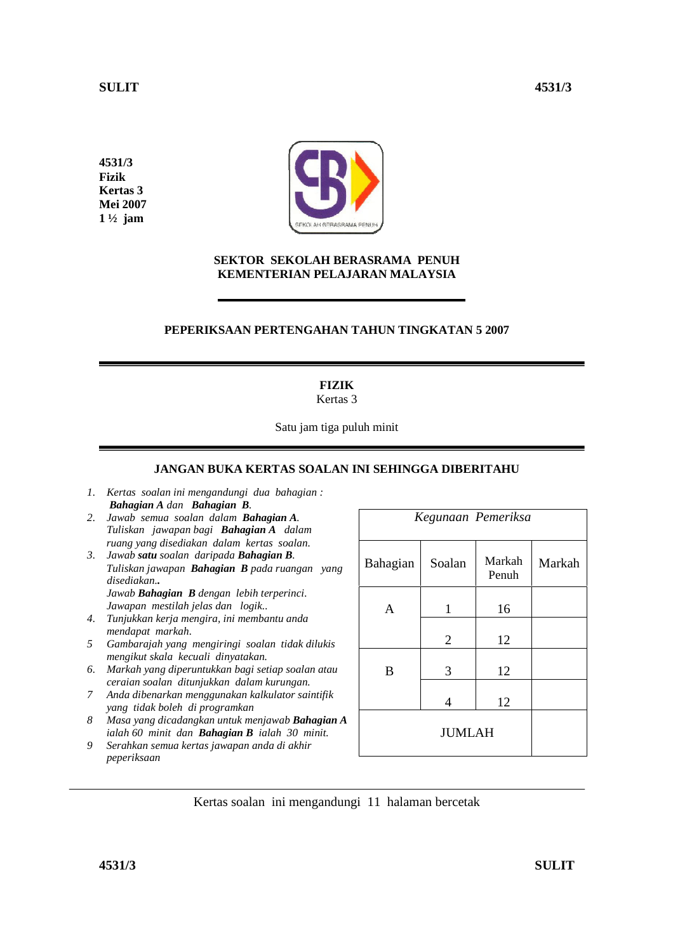**4531/3 Fizik Kertas 3 Mei 2007 1 ½ jam** 



### **SEKTOR SEKOLAH BERASRAMA PENUH KEMENTERIAN PELAJARAN MALAYSIA**

# **PEPERIKSAAN PERTENGAHAN TAHUN TINGKATAN 5 2007**

# **FIZIK**

Kertas 3

Satu jam tiga puluh minit

# **JANGAN BUKA KERTAS SOALAN INI SEHINGGA DIBERITAHU**

- *1. Kertas soalan ini mengandungi dua bahagian : Bahagian A dan Bahagian B.*
- *2. Jawab semua soalan dalam Bahagian A. Tuliskan jawapan bagi Bahagian A dalam ruang yang disediakan dalam kertas soalan.*
- *3. Jawab satu soalan daripada Bahagian B. Tuliskan jawapan Bahagian B pada ruangan yang disediakan.. Jawab Bahagian B dengan lebih terperinci. Jawapan mestilah jelas dan logik..*
- *4. Tunjukkan kerja mengira, ini membantu anda mendapat markah.*
- *5 Gambarajah yang mengiringi soalan tidak dilukis mengikut skala kecuali dinyatakan.*
- *6. Markah yang diperuntukkan bagi setiap soalan atau ceraian soalan ditunjukkan dalam kurungan.*
- *7 Anda dibenarkan menggunakan kalkulator saintifik yang tidak boleh di programkan*
- *8 Masa yang dicadangkan untuk menjawab Bahagian A ialah 60 minit dan Bahagian B ialah 30 minit.*
- *9 Serahkan semua kertas jawapan anda di akhir peperiksaan*

| Kegunaan Pemeriksa |                |                 |        |  |  |
|--------------------|----------------|-----------------|--------|--|--|
| Bahagian           | Soalan         | Markah<br>Penuh | Markah |  |  |
| A                  | 1              | 16              |        |  |  |
|                    | $\overline{2}$ | 12              |        |  |  |
| B                  | 3              | 12              |        |  |  |
|                    | $\overline{4}$ | 12              |        |  |  |
| <b>JUMLAH</b>      |                |                 |        |  |  |

Kertas soalan ini mengandungi 11 halaman bercetak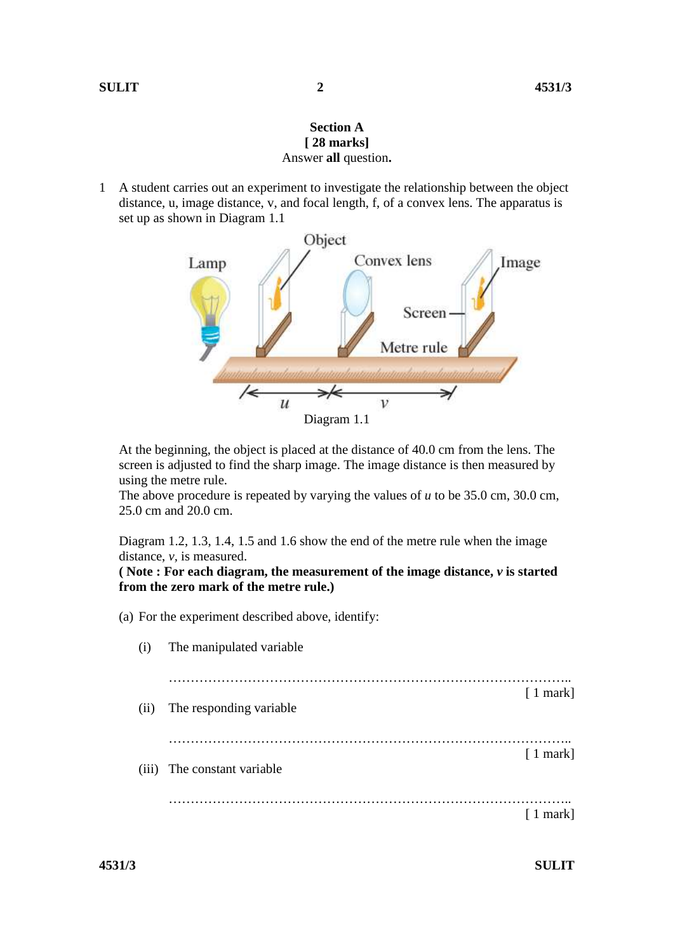# **Section A [ 28 marks]**  Answer **all** question**.**

1 A student carries out an experiment to investigate the relationship between the object distance, u, image distance, v, and focal length, f, of a convex lens. The apparatus is set up as shown in Diagram 1.1



 At the beginning, the object is placed at the distance of 40.0 cm from the lens. The screen is adjusted to find the sharp image. The image distance is then measured by using the metre rule.

 The above procedure is repeated by varying the values of *u* to be 35.0 cm, 30.0 cm, 25.0 cm and 20.0 cm.

 Diagram 1.2, 1.3, 1.4, 1.5 and 1.6 show the end of the metre rule when the image distance, *v,* is measured.

 **( Note : For each diagram, the measurement of the image distance,** *v* **is started from the zero mark of the metre rule.)** 

(a) For the experiment described above, identify:

| (i)   | The manipulated variable |                  |
|-------|--------------------------|------------------|
| (ii)  | The responding variable  | $\lceil 1$ mark] |
| (iii) | The constant variable    | $\lceil 1$ mark] |
|       |                          | $\lceil 1$ mark  |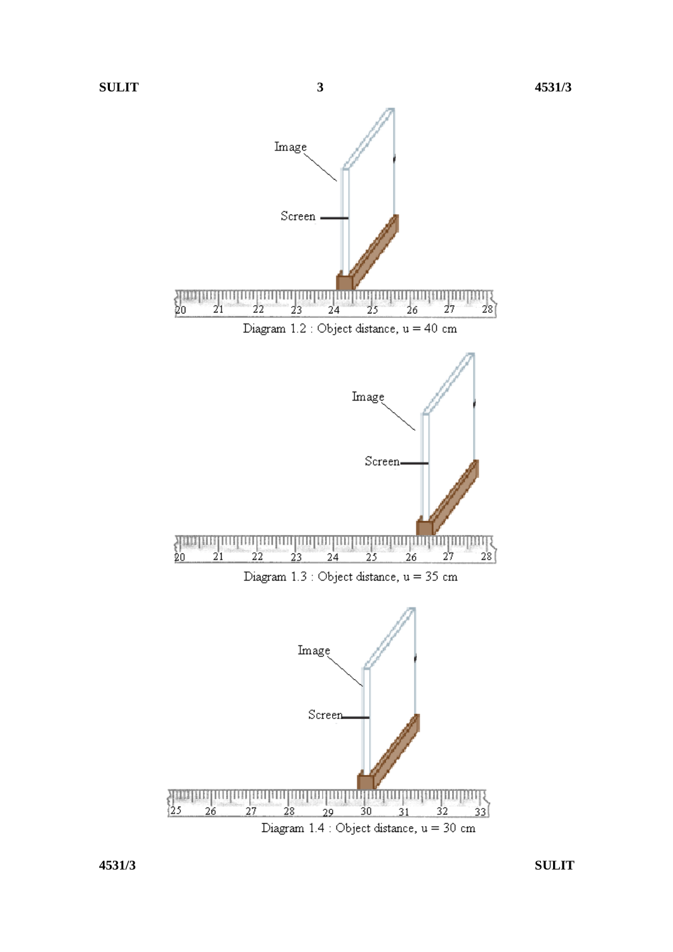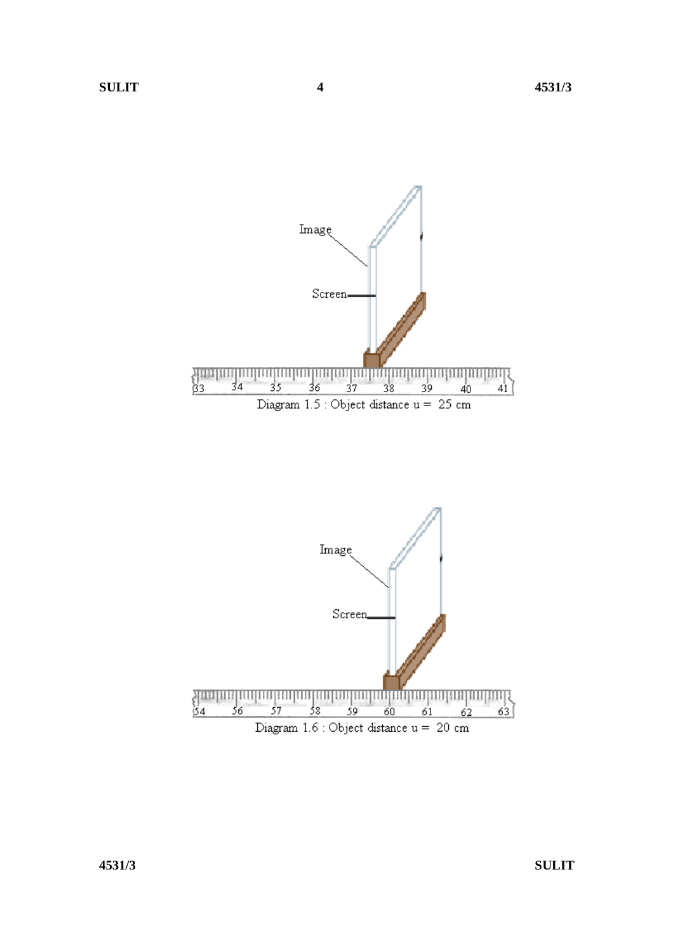

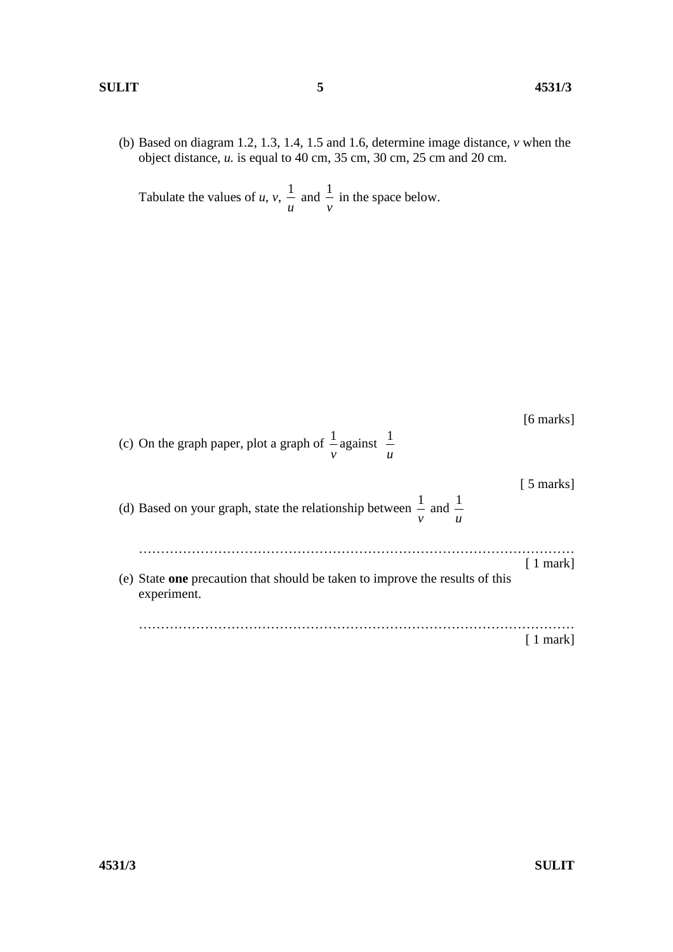### **SULIT 5 4531/3**

(b) Based on diagram 1.2, 1.3, 1.4, 1.5 and 1.6, determine image distance, *v* when the object distance, *u.* is equal to 40 cm, 35 cm, 30 cm, 25 cm and 20 cm.

 Tabulate the values of *u*, *v*, *u*  $\frac{1}{-}$  and *v*  $\frac{1}{1}$  in the space below.

| (c) On the graph paper, plot a graph of $\frac{1}{2}$ against $\frac{1}{2}$                                                | [6 marks]        |
|----------------------------------------------------------------------------------------------------------------------------|------------------|
| (d) Based on your graph, state the relationship between $\frac{1}{-}$ and $\frac{1}{-}$<br>$\boldsymbol{\mathcal{U}}$<br>ν | [ 5 marks]       |
| (e) State one precaution that should be taken to improve the results of this<br>experiment.                                | $\lceil$ 1 mark] |
|                                                                                                                            | markl            |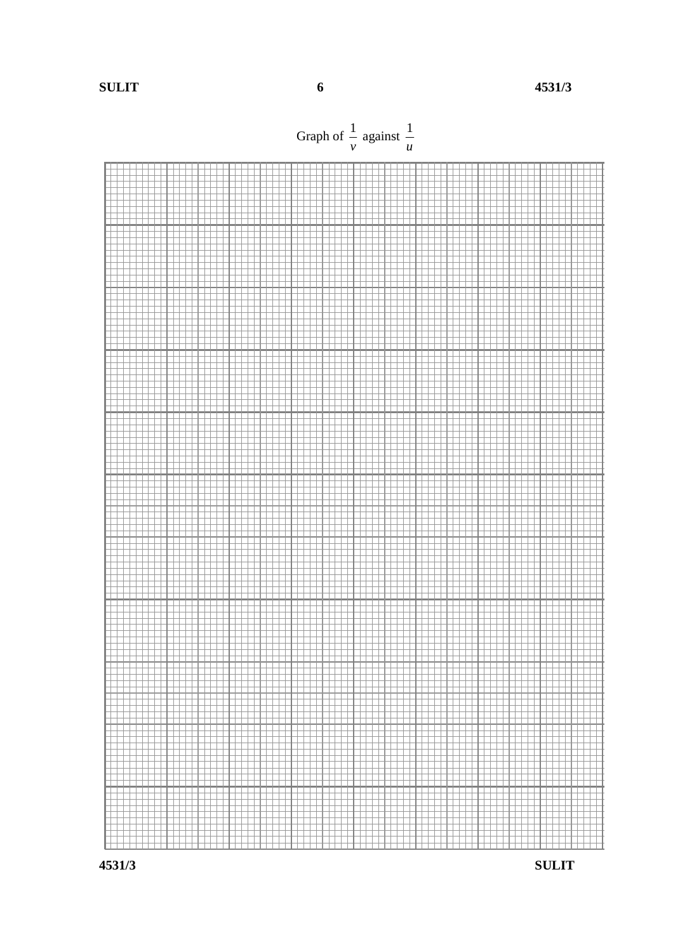**SULIT 6 4531/3** 

Graph of *v* 1 against *u* 1



**4531/3 SULIT**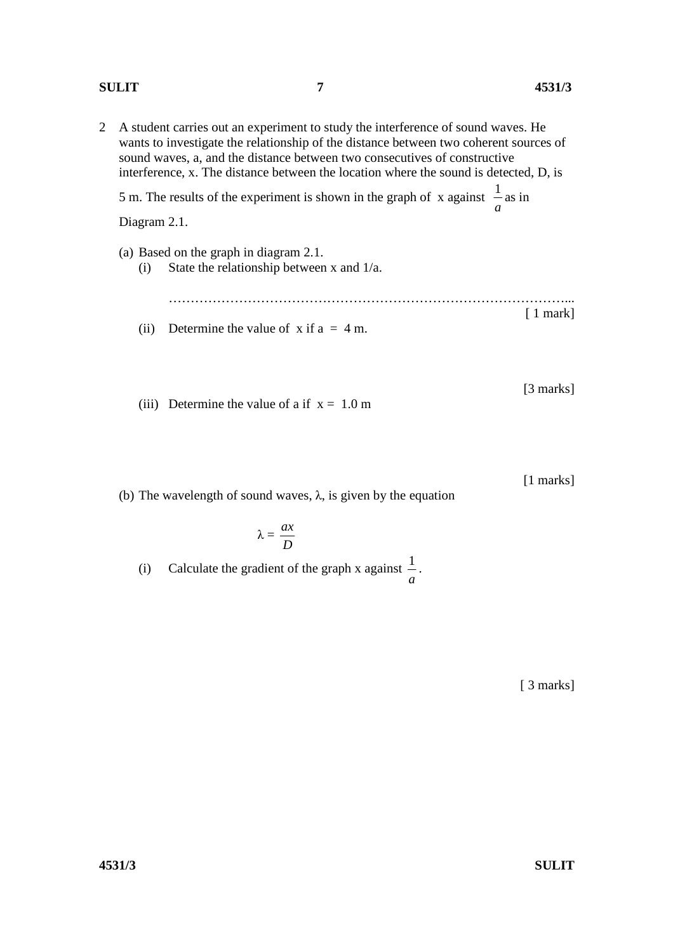# **SULIT 7 4531/3**

- 2 A student carries out an experiment to study the interference of sound waves. He wants to investigate the relationship of the distance between two coherent sources of sound waves, a, and the distance between two consecutives of constructive interference, x. The distance between the location where the sound is detected, D, is 5 m. The results of the experiment is shown in the graph of x against *a*  $\frac{1}{2}$  as in Diagram 2.1. (a) Based on the graph in diagram 2.1. (i) State the relationship between x and 1/a. ………………………………………………………………………………... [ 1 mark] (ii) Determine the value of x if  $a = 4$  m.
	- (iii) Determine the value of a if  $x = 1.0$  m

(b) The wavelength of sound waves,  $\lambda$ , is given by the equation

$$
\lambda = \frac{ax}{D}
$$

(i) Calculate the gradient of the graph x against *a* 1 .

[ 3 marks]

[3 marks]

[1 marks]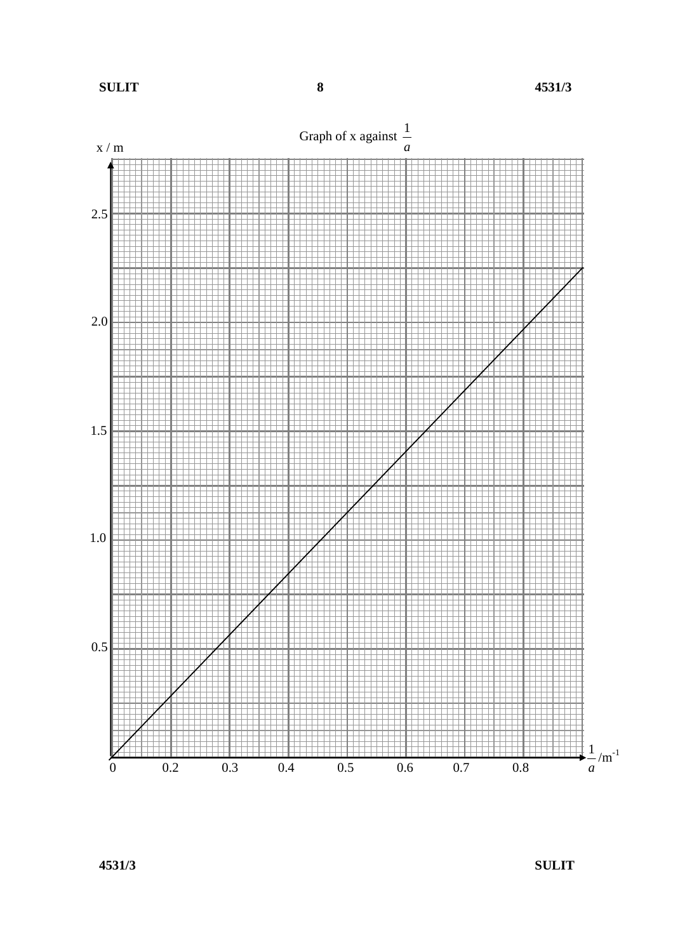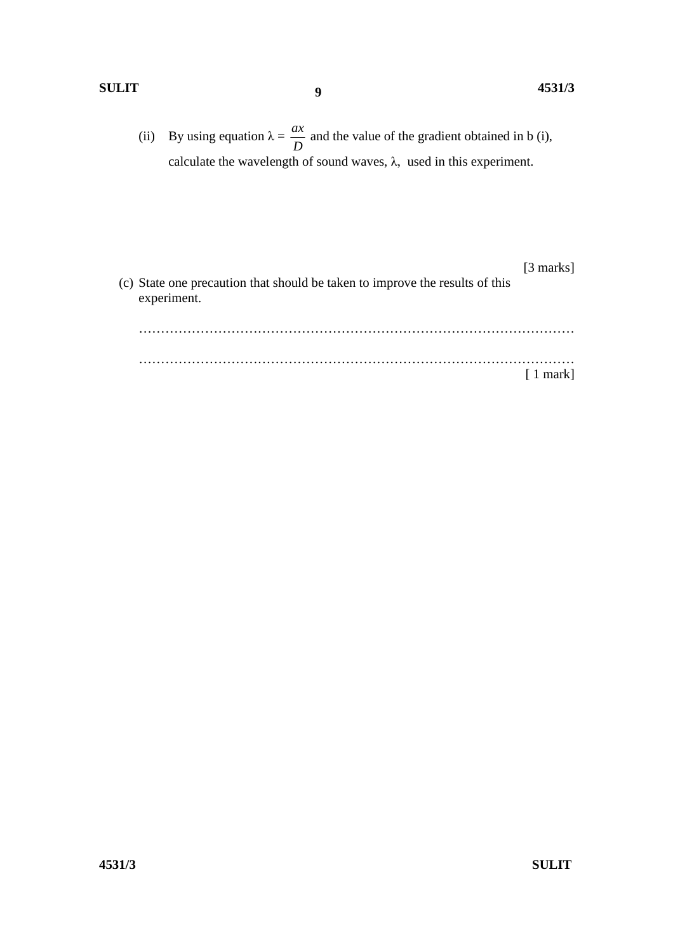# **SULIT 4531/3**

(ii) By using equation  $\lambda =$ *D*  $\frac{ax}{b}$  and the value of the gradient obtained in b (i), calculate the wavelength of sound waves,  $\lambda$ , used in this experiment.

**9**

[3 marks] (c) State one precaution that should be taken to improve the results of this experiment. ………………………………………………………………………………………

 ……………………………………………………………………………………… [ 1 mark]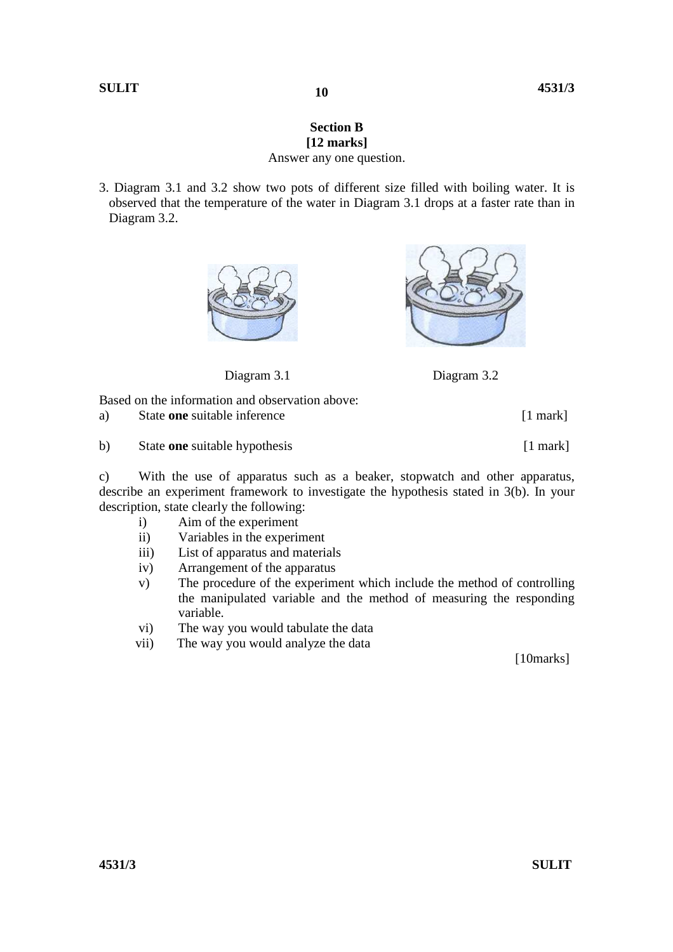# **Section B [12 marks]**

**10** 

# Answer any one question.

3. Diagram 3.1 and 3.2 show two pots of different size filled with boiling water. It is observed that the temperature of the water in Diagram 3.1 drops at a faster rate than in Diagram 3.2.





Diagram 3.1 Diagram 3.2

Based on the information and observation above:

a) State **one** suitable inference [1 mark]

b) State **one** suitable hypothesis [1 mark]

c) With the use of apparatus such as a beaker, stopwatch and other apparatus, describe an experiment framework to investigate the hypothesis stated in 3(b). In your description, state clearly the following:

- i) Aim of the experiment
- ii) Variables in the experiment
- iii) List of apparatus and materials
- iv) Arrangement of the apparatus
- v) The procedure of the experiment which include the method of controlling the manipulated variable and the method of measuring the responding variable.
- vi) The way you would tabulate the data
- vii) The way you would analyze the data

[10marks]